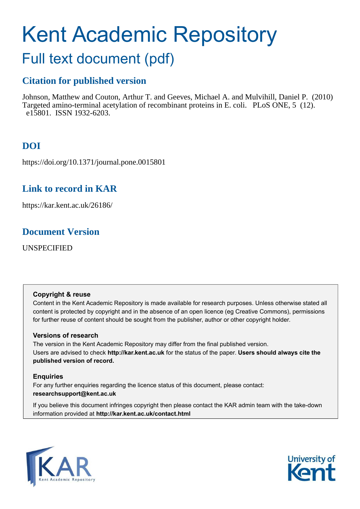# Kent Academic Repository

# Full text document (pdf)

# **Citation for published version**

Johnson, Matthew and Couton, Arthur T. and Geeves, Michael A. and Mulvihill, Daniel P. (2010) Targeted amino-terminal acetylation of recombinant proteins in E. coli. PLoS ONE, 5 (12). e15801. ISSN 1932-6203.

# **DOI**

https://doi.org/10.1371/journal.pone.0015801

## **Link to record in KAR**

https://kar.kent.ac.uk/26186/

## **Document Version**

UNSPECIFIED

## **Copyright & reuse**

Content in the Kent Academic Repository is made available for research purposes. Unless otherwise stated all content is protected by copyright and in the absence of an open licence (eg Creative Commons), permissions for further reuse of content should be sought from the publisher, author or other copyright holder.

## **Versions of research**

The version in the Kent Academic Repository may differ from the final published version. Users are advised to check **http://kar.kent.ac.uk** for the status of the paper. **Users should always cite the published version of record.**

## **Enquiries**

For any further enquiries regarding the licence status of this document, please contact: **researchsupport@kent.ac.uk**

If you believe this document infringes copyright then please contact the KAR admin team with the take-down information provided at **http://kar.kent.ac.uk/contact.html**



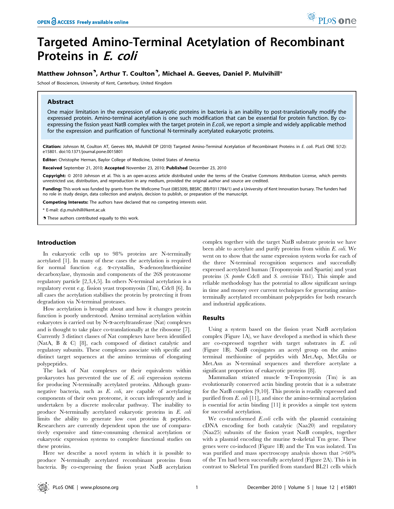# Targeted Amino-Terminal Acetylation of Recombinant Proteins in E. coli

### Matthew Johnson<sup>9</sup>, Arthur T. Coulton<sup>9</sup>, Michael A. Geeves, Daniel P. Mulvihill\*

School of Biosciences, University of Kent, Canterbury, United Kingdom

#### Abstract

One major limitation in the expression of eukaryotic proteins in bacteria is an inability to post-translationally modify the expressed protein. Amino-terminal acetylation is one such modification that can be essential for protein function. By coexpressing the fission yeast NatB complex with the target protein in E.coli, we report a simple and widely applicable method for the expression and purification of functional N-terminally acetylated eukaryotic proteins.

Citation: Johnson M, Coulton AT, Geeves MA, Mulvihill DP (2010) Targeted Amino-Terminal Acetylation of Recombinant Proteins in E. coli. PLoS ONE 5(12): e15801. doi:10.1371/journal.pone.0015801

Editor: Christophe Herman, Baylor College of Medicine, United States of America

Received September 21, 2010; Accepted November 23, 2010; Published December 23, 2010

Copyright: © 2010 Johnson et al. This is an open-access article distributed under the terms of the Creative Commons Attribution License, which permits unrestricted use, distribution, and reproduction in any medium, provided the original author and source are credited.

Funding: This work was funded by grants from the Wellcome Trust (085309), BBSRC (BB/F011784/1) and a University of Kent Innovation bursary. The funders had no role in study design, data collection and analysis, decision to publish, or preparation of the manuscript.

Competing Interests: The authors have declared that no competing interests exist.

\* E-mail: d.p.mulvihill@kent.ac.uk

. These authors contributed equally to this work.

#### Introduction

In eukaryotic cells up to 98% proteins are N-terminally acetylated [1]. In many of these cases the acetylation is required for normal function e.g. a-crystallin, S-adenosylmethionine decarboxylase, thymosin and components of the 26S proteasome regulatory particle [2,3,4,5]. In others N-terminal acetylation is a regulatory event e.g. fission yeast tropomyosin (Tm), Cdc8 [6]. In all cases the acetylation stabilises the protein by protecting it from degradation via N-terminal proteases.

How acetylation is brought about and how it changes protein function is poorly understood. Amino terminal acetylation within eukaryotes is carried out by N- $\alpha$ -acetyltransferase (Nat) complexes and is thought to take place co-translationally at the ribosome [7]. Currently 3 distinct classes of Nat complexes have been identified (NatA, B & C) [8], each composed of distinct catalytic and regulatory subunits. These complexes associate with specific and distinct target sequences at the amino terminus of elongating polypeptides.

The lack of Nat complexes or their equivalents within prokaryotes has prevented the use of E. coli expression systems for producing N-terminally acetylated proteins. Although gramnegative bacteria, such as  $E$ . *coli*, are capable of acetylating components of their own proteome, it occurs infrequently and is undertaken by a discrete molecular pathway. The inability to produce N-terminally acetylated eukaryotic proteins in E. coli limits the ability to generate low cost proteins & peptides. Researchers are currently dependent upon the use of comparatively expensive and time-consuming chemical acetylation or eukaryotic expression systems to complete functional studies on these proteins.

Here we describe a novel system in which it is possible to produce N-terminally acetylated recombinant proteins from bacteria. By co-expressing the fission yeast NatB acetylation complex together with the target NatB substrate protein we have been able to acetylate and purify proteins from within E. coli. We went on to show that the same expression system works for each of the three N-terminal recognition sequences and successfully expressed acetylated human (Tropomyosin and Spartin) and yeast proteins (S. pombe Cdc8 and S. cerevisiae Tfs1). This simple and reliable methodology has the potential to allow significant savings in time and money over current techniques for generating aminoterminally acetylated recombinant polypeptides for both research and industrial applications.

#### Results

Using a system based on the fission yeast NatB acetylation complex (Figure 1A), we have developed a method in which these are co-expressed together with target substrates in E. coli (Figure 1B). NatB conjugates an acetyl group on the amino terminal methionine of peptides with Met.Asp, Met.Glu or Met.Asn as N-terminal sequences and therefore acetylate a significant proportion of eukaryotic proteins [8].

Mammalian striated muscle  $\alpha$ -Tropomyosin (Tm) is an evolutionarily conserved actin binding protein that is a substrate for the NatB complex [9,10]. This protein is readily expressed and purified from E. coli [11], and since the amino-terminal acetylation is essential for actin binding [11] it provides a simple test system for successful acetylation.

We co-transformed *E.coli* cells with the plasmid containing cDNA encoding for both catalytic (Naa20) and regulatory (Naa25) subunits of the fission yeast NatB complex, together with a plasmid encoding the murine  $\alpha$ -skeletal Tm gene. These genes were co-induced (Figure 1B) and the Tm was isolated. Tm was purified and mass spectroscopy analysis shown that  $>60\%$ of the Tm had been successfully acetylated (Figure 2A). This is in contrast to Skeletal Tm purified from standard BL21 cells which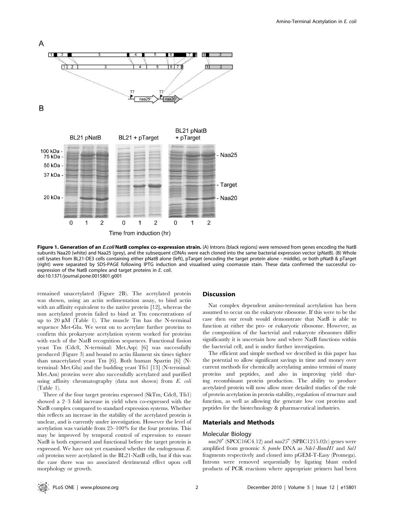

Figure 1. Generation of an *E.coli* NatB complex co-expression strain. (A) Introns (black regions) were removed from genes encoding the NatB subunits Naa20 (white) and Naa25 (grey), and the subsequent cDNAs were each cloned into the same bacterial expression vector (pNatB). (B) Whole cell lysates from BL21-DE3 cells containing either pNatB alone (left), pTarget (encoding the target protein alone - middle), or both pNatB & pTarget (right) were separated by SDS-PAGE following IPTG induction and visualised using coomassie stain. These data confirmed the successful coexpression of the NatB complex and target proteins in E. coli.

1

 $\Omega$ 

doi:10.1371/journal.pone.0015801.g001

 $\Omega$ 

 $\mathbf{1}$ 

 $\overline{2}$ 

 $\Omega$ 

1

Time from induction (hr)

 $\overline{2}$ 

remained unacetylated (Figure 2B). The acetylated protein was shown, using an actin sedimentation assay, to bind actin with an affinity equivalent to the native protein [12], whereas the non acetylated protein failed to bind at Tm concentrations of up to  $20 \mu M$  (Table 1). The muscle Tm has the N-terminal sequence Met-Glu. We went on to acetylate further proteins to confirm this prokaryote acetylation system worked for proteins with each of the NatB recognition sequences. Functional fission yeast Tm (Cdc8, N-terminal: Met.Asp) [6] was successfully produced (Figure 3) and bound to actin filament six times tighter than unacetylated yeast Tm [6]. Both human Spartin [6] (Nterminal: Met.Glu) and the budding yeast Tfs1 [13] (N-terminal: Met.Asn) proteins were also successfully acetylated and purified using affinity chromatography (data not shown) from E. coli (Table 1).

Three of the four target proteins expressed (SkTm, Cdc8, Tfs1) showed a 2–3 fold increase in yield when co-expressed with the NatB complex compared to standard expression systems. Whether this reflects an increase in the stability of the acetylated protein is unclear, and is currently under investigation. However the level of acetylation was variable from 25–100% for the four proteins. This may be improved by temporal control of expression to ensure NatB is both expressed and functional before the target protein is expressed. We have not yet examined whether the endogenous E. coli proteins were acetylated in the BL21-NatB cells, but if this was the case there was no associated detrimental effect upon cell morphology or growth.

#### **Discussion**

 $\overline{2}$ 

Nat complex dependent amino-terminal acetylation has been assumed to occur on the eukaryote ribosome. If this were to be the case then our result would demonstrate that NatB is able to function at either the pro- or eukaryotic ribosome. However, as the composition of the bacterial and eukaryote ribosomes differ significantly it is uncertain how and where NatB functions within the bacterial cell, and is under further investigation.

The efficient and simple method we described in this paper has the potential to allow significant savings in time and money over current methods for chemically acetylating amino termini of many proteins and peptides, and also in improving yield during recombinant protein production. The ability to produce acetylated protein will now allow more detailed studies of the role of protein acetylation in protein stability, regulation of structure and function, as well as allowing the generate low cost proteins and peptides for the biotechnology & pharmaceutical industries.

#### Materials and Methods

#### Molecular Biology

 $naa20<sup>+</sup>$  (SPCC16C4.12) and  $naa25<sup>+</sup>$  (SPBC1215.02c) genes were amplified from genomic S. pombe DNA as Nde1-BamH1 and Sal1 fragments respectively and cloned into pGEM-T-Easy (Promega). Introns were removed sequentially by ligating blunt ended products of PCR reactions where appropriate primers had been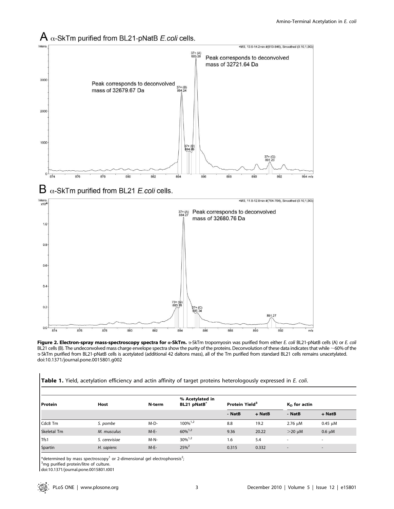## $A_{\alpha}$ -SkTm purified from BL21-pNatB E.coli cells.



 $\mathbf B$   $\alpha$ -SkTm purified from BL21 E.coli cells.



Figure 2. Electron-spray mass-spectroscopy spectra for a-SkTm. a-SkTm tropomyosin was purified from either E. coli BL21-pNatB cells (A) or E. coli BL21 cells (B). The undeconvolved mass charge envelope spectra show the purity of the proteins. Deconvolution of these data indicates that while  $\sim$  60% of the a-SkTm purified from BL21-pNatB cells is acetylated (additional 42 daltons mass), all of the Tm purified from standard BL21 cells remains unacetylated. doi:10.1371/journal.pone.0015801.g002

|  |  |  |  |  |  |  |  | <b>Table 1.</b> Yield, acetylation efficiency and actin affinity of target proteins heterologously expressed in E. coli. |  |  |  |
|--|--|--|--|--|--|--|--|--------------------------------------------------------------------------------------------------------------------------|--|--|--|
|--|--|--|--|--|--|--|--|--------------------------------------------------------------------------------------------------------------------------|--|--|--|

|             |               | N-term | % Acetylated in<br>BL21 pNatB <sup>*</sup> |                            |          |                          |                          |
|-------------|---------------|--------|--------------------------------------------|----------------------------|----------|--------------------------|--------------------------|
| Protein     | Host          |        |                                            | Protein Yield <sup>3</sup> |          | $K_{D}$ for actin        |                          |
|             |               |        |                                            | - NatB                     | $+$ NatB | - NatB                   | + NatB                   |
| Cdc8 Tm     | S. pombe      | $M-D-$ | 100% <sup>1,2</sup>                        | 8.8                        | 19.2     | 2.76 µM                  | $0.45 \mu M$             |
| Skeletal Tm | M. musculus   | $M-E-$ | $60\%^{1,2}$                               | 9.36                       | 20.22    | $>$ 20 $\mu$ M           | $0.6 \mu M$              |
| Tfs1        | S. cerevisiae | $M-N-$ | $30\%^{1,2}$                               | 1.6                        | 5.4      |                          |                          |
| Spartin     | H. sapiens    | $M-E-$ | $25%^{2}$                                  | 0.315                      | 0.332    | $\overline{\phantom{a}}$ | $\overline{\phantom{a}}$ |

\*determined by mass spectroscopy<sup>1</sup> or 2-dimensional gel electrophoresis<sup>2</sup>;

<sup>3</sup>mg purified protein/litre of culture.

doi:10.1371/journal.pone.0015801.t001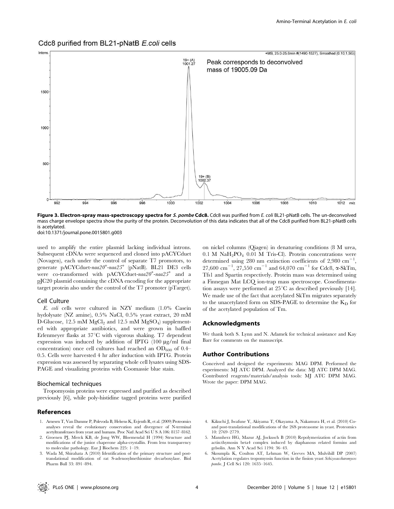#### Cdc8 purified from BL21-pNatB E.coli cells



Figure 3. Electron-spray mass-spectroscopy spectra for S. pombe Cdc8. Cdc8 was purified from E. coli BL21-pNatB cells. The un-deconvolved mass charge envelope spectra show the purity of the protein. Deconvolution of this data indicates that all of the Cdc8 purified from BL21-pNatB cells is acetylated

doi:10.1371/journal.pone.0015801.g003

used to amplify the entire plasmid lacking individual introns. Subsequent cDNAs were sequenced and cloned into pACYCduet (Novagen), each under the control of separate T7 promotors, to generate pACYCduet-naa20<sup>+</sup>-naa25<sup>+</sup> (pNatB). BL21 DE3 cells were co-transformed with pACYCduet-naa20<sup>+</sup>-naa25<sup>+</sup> and a pJC20 plasmid containing the cDNA encoding for the appropriate target protein also under the control of the T7 promoter (pTarget).

#### Cell Culture

E. coli cells were cultured in NZY medium (1.0% Casein hydolysate (NZ amine), 0.5% NaCl, 0.5% yeast extract, 20 mM D-Glucose, 12.5 mM  $MgCl<sub>2</sub>$  and 12.5 mM  $MgSO<sub>4</sub>$ ) supplemented with appropriate antibiotics, and were grown in baffled Erlenmeyer flasks at  $37^{\circ}$ C with vigorous shaking. T7 dependent expression was induced by addition of IPTG  $(100 \mu g/ml \text{ final})$ concentration) once cell cultures had reached an  $OD_{600}$  of 0.4– 0.5. Cells were harvested 4 hr after induction with IPTG. Protein expression was assessed by separating whole cell lysates using SDS-PAGE and visualizing proteins with Coomassie blue stain.

#### Biochemical techniques

Tropomyosin proteins were expressed and purified as described previously [6], while poly-histidine tagged proteins were purified

#### References

- 1. Arnesen T, Van Damme P, Polevoda B, Helsens K, Evjenth R, et al. (2009) Proteomics analyses reveal the evolutionary conservation and divergence of N-terminal acetyltransferases from yeast and humans. Proc Natl Acad Sci U S A 106: 8157–8162.
- 2. Groenen PJ, Merck KB, de Jong WW, Bloemendal H (1994) Structure and modifications of the junior chaperone alpha-crystallin. From lens transparency to molecular pathology. Eur J Biochem 225: 1–19.
- 3. Wada M, Shirahata A (2010) Identification of the primary structure and posttranslational modification of rat S-adenosylmethionine decarboxylase. Biol Pharm Bull 33: 891–894.

on nickel columns (Qiagen) in denaturing conditions (8 M urea,  $0.1$  M NaH<sub>2</sub>PO<sub>4</sub>  $0.01$  M Tris-Cl). Protein concentrations were determined using 280 nm extinction coefficients of 2,980 cm<sup>-1</sup>,  $27,600 \text{ cm}^{-1}$ ,  $27,550 \text{ cm}^{-1}$  and  $64,070 \text{ cm}^{-1}$  for Cdc8,  $\alpha$ -SkTm, Tfs1 and Spartin respectively. Protein mass was determined using a Finnegan Mat LCQ ion-trap mass spectroscope. Cosedimentation assays were performed at  $25^{\circ}$ C as described previously [14]. We made use of the fact that acetylated SkTm migrates separately to the unacetylated form on SDS-PAGE to determine the  $K_D$  for of the acetylated population of Tm.

#### Acknowledgments

We thank both S. Lynn and N. Adamek for technical assistance and Kay Barr for comments on the manuscript.

#### Author Contributions

Conceived and designed the experiments: MAG DPM. Performed the experiments: MJ ATC DPM. Analyzed the data: MJ ATC DPM MAG. Contributed reagents/materials/analysis tools: MJ ATC DPM MAG. Wrote the paper: DPM MAG.

- 4. Kikuchi J, Iwafune Y, Akiyama T, Okayama A, Nakamura H, et al. (2010) Coand post-translational modifications of the 26S proteasome in yeast. Proteomics 10: 2769–2779.
- 5. Mannherz HG, Mazur AJ, Jockusch B (2010) Repolymerization of actin from actin:thymosin beta4 complex induced by diaphanous related formins and gelsolin. Ann N Y Acad Sci 1194: 36–43.
- 6. Skoumpla K, Coulton AT, Lehman W, Geeves MA, Mulvihill DP (2007) Acetylation regulates tropomyosin function in the fission yeast Schizosaccharomyces pombe. J Cell Sci 120: 1635–1645.